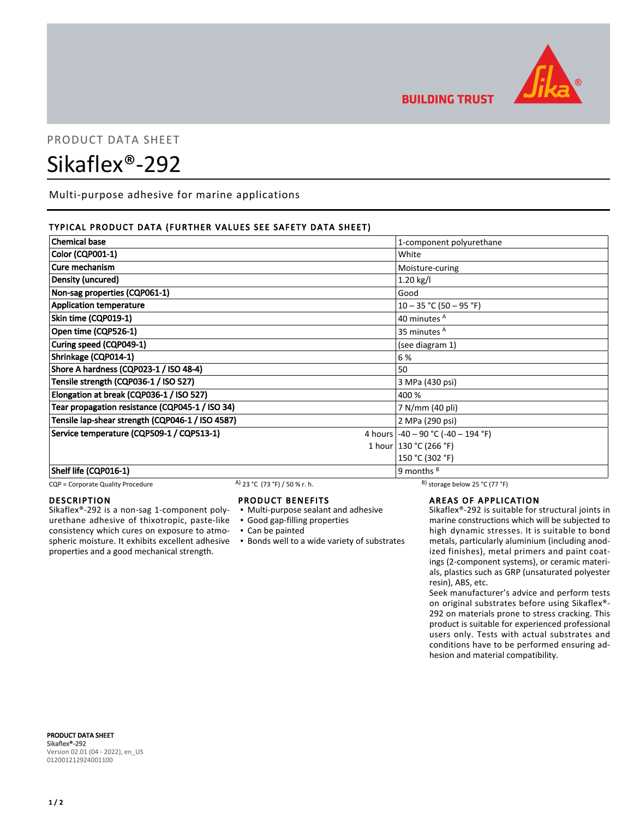

**BUILDING TRUST** 

# PRODUCT DATA SHEET

# Sikaflex®-292

Multi-purpose adhesive for marine applications

### TYPICAL PRODUCT DATA (FURTHER VALUES SEE SAFETY DATA SHEET)

| <b>Chemical base</b>                             | 1-component polyurethane               |
|--------------------------------------------------|----------------------------------------|
| <b>Color (CQP001-1)</b>                          | White                                  |
| Cure mechanism                                   | Moisture-curing                        |
| Density (uncured)                                | 1.20 kg/l                              |
| Non-sag properties (CQP061-1)                    | Good                                   |
| <b>Application temperature</b>                   | $10 - 35$ °C (50 - 95 °F)              |
| Skin time (CQP019-1)                             | 40 minutes <sup>A</sup>                |
| Open time (CQP526-1)                             | 35 minutes <sup>A</sup>                |
| Curing speed (CQP049-1)                          | (see diagram 1)                        |
| Shrinkage (CQP014-1)                             | 6 %                                    |
| Shore A hardness (CQP023-1 / ISO 48-4)           | 50                                     |
| Tensile strength (CQP036-1 / ISO 527)            | 3 MPa (430 psi)                        |
| Elongation at break (CQP036-1 / ISO 527)         | 400 %                                  |
| Tear propagation resistance (CQP045-1 / ISO 34)  | 7 N/mm (40 pli)                        |
| Tensile lap-shear strength (CQP046-1 / ISO 4587) | 2 MPa (290 psi)                        |
| Service temperature (CQP509-1 / CQP513-1)        | 4 hours $-40 - 90$ °C $(-40 - 194$ °F) |
|                                                  | 1 hour   130 °C (266 °F)               |
|                                                  | 150 °C (302 °F)                        |
| Shelf life (CQP016-1)                            | 9 months <sup>B</sup>                  |

CQP = Corporate Quality Procedure A) 23 °C (73 °F) / 50 % r. h. B) storage below 25 °C (77 °F)

#### DESCRIPTION

Sikaflex®-292 is a non-sag 1-component polyurethane adhesive of thixotropic, paste-like consistency which cures on exposure to atmospheric moisture. It exhibits excellent adhesive properties and a good mechanical strength.

- PRODUCT BENEFITS
- Multi-purpose sealant and adhesive
- Good gap-filling properties
- Can be painted
- **.** Bonds well to a wide variety of substrates

## AREAS OF APPLICATION

Sikaflex®-292 is suitable for structural joints in marine constructions which will be subjected to high dynamic stresses. It is suitable to bond metals, particularly aluminium (including anodized finishes), metal primers and paint coatings (2-component systems), or ceramic materials, plastics such as GRP (unsaturated polyester resin), ABS, etc.

Seek manufacturer's advice and perform tests on original substrates before using Sikaflex®- 292 on materials prone to stress cracking. This product is suitable for experienced professional users only. Tests with actual substrates and conditions have to be performed ensuring adhesion and material compatibility.

PRODUCT DATA SHEET Sikaflex®-292 Version 02.01 (04 - 2022), en\_US 012001212924001100